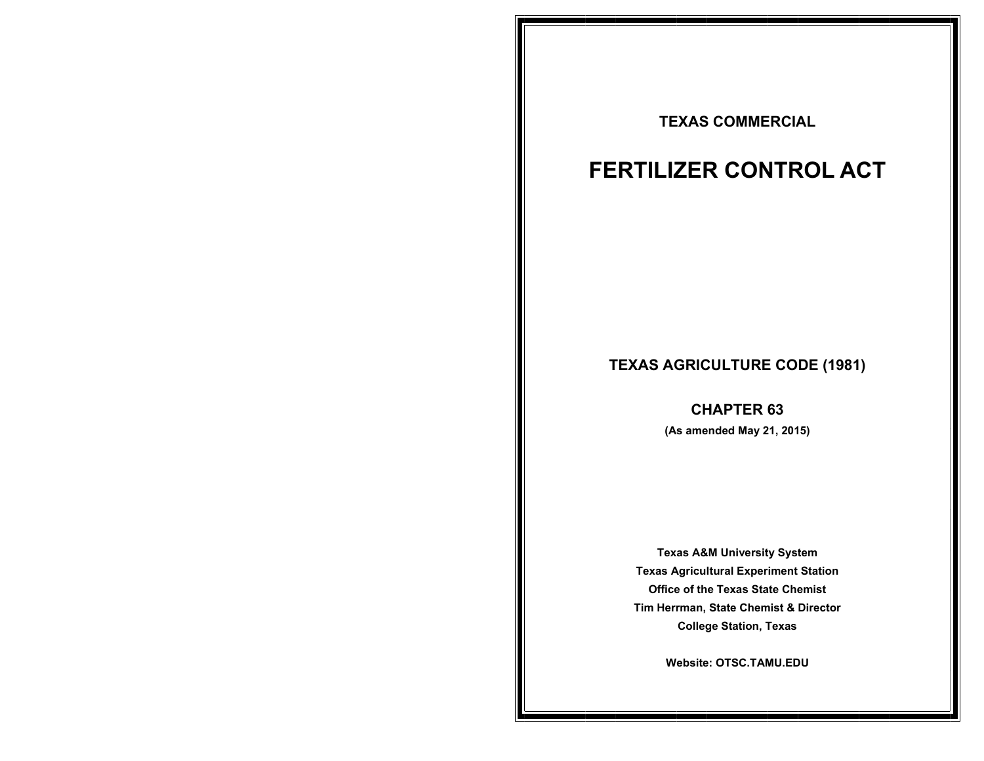## **TEXAS COMMERCIAL**

# **FERTILIZER CONTROL ACT**

## **TEXAS AGRICULTURE CODE (1981)**

**CHAPTER 63 (As amended May 21, 2015)** 

Texas Agricultural Experiment Station **Office of the Texas State Chemist Office of the Texas State Chemist Tim Herrman, State Chemist & Director Texas A&M University System College Station, Texas** 

**College Station, Texas Website: OTSC.TAMU.EDU**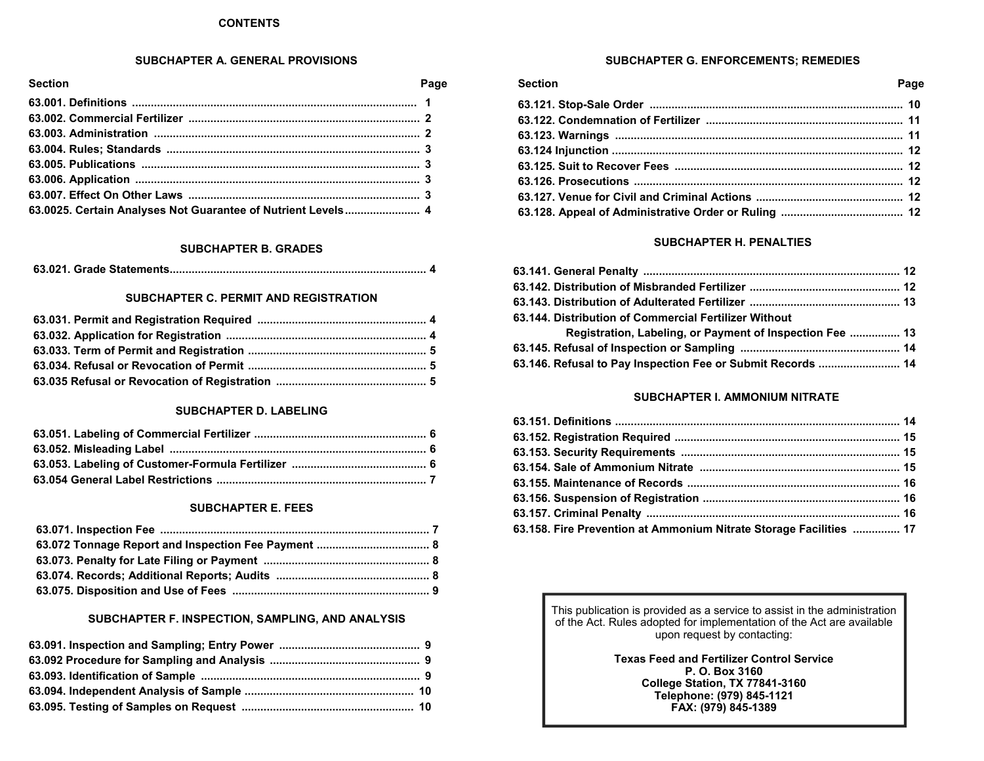#### **CONTENTS**

#### **SUBCHAPTER A. GENERAL PROVISIONS**

| <b>Section</b>                                               | Page |
|--------------------------------------------------------------|------|
|                                                              |      |
|                                                              |      |
|                                                              |      |
|                                                              |      |
|                                                              |      |
|                                                              |      |
|                                                              |      |
| 63.0025. Certain Analyses Not Guarantee of Nutrient Levels 4 |      |

#### **SUBCHAPTER B. GRADES**

|--|--|--|--|

#### **SUBCHAPTER C. PERMIT AND REGISTRATION**

#### **SUBCHAPTER D. LABELING**

#### **SUBCHAPTER E. FEES**

## **SUBCHAPTER F. INSPECTION, SAMPLING, AND ANALYSIS**

## **SUBCHAPTER G. ENFORCEMENTS; REMEDIES**

| Section | Page |
|---------|------|
|         |      |
|         |      |
|         |      |
|         |      |
|         |      |
|         |      |
|         |      |
|         |      |

#### **SUBCHAPTER H. PENALTIES**

| 63.144. Distribution of Commercial Fertilizer Without       |  |
|-------------------------------------------------------------|--|
| Registration, Labeling, or Payment of Inspection Fee  13    |  |
|                                                             |  |
| 63.146. Refusal to Pay Inspection Fee or Submit Records  14 |  |

#### **SUBCHAPTER I. AMMONIUM NITRATE**

| 63.158. Fire Prevention at Ammonium Nitrate Storage Facilities  17 |  |
|--------------------------------------------------------------------|--|
|                                                                    |  |

This publication is provided as a service to assist in the administration of the Act. Rules adopted for implementation of the Act are available upon request by contacting:

> **Texas Feed and Fertilizer Control Service P. O. Box 3160 College Station, TX 77841-3160 Telephone: (979) 845-1121 FAX: (979) 845-1389**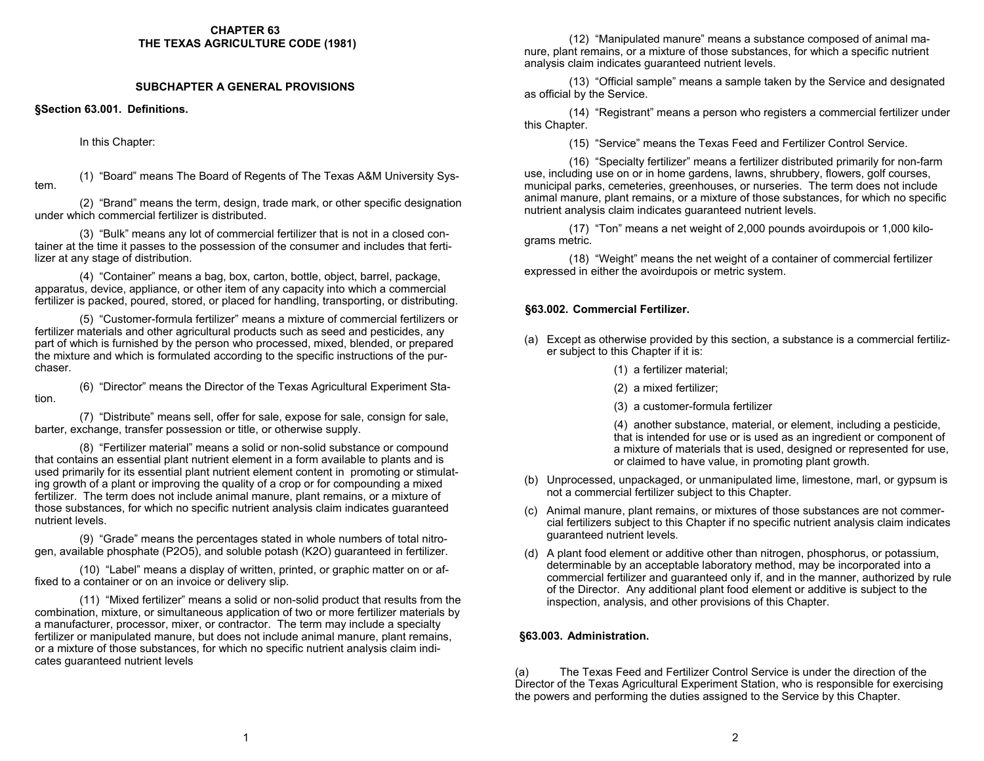#### **CHAPTER 63 THE TEXAS AGRICULTURE CODE (1981)**

#### **SUBCHAPTER A GENERAL PROVISIONS**

**§Section 63.001. Definitions.** 

In this Chapter:

(1) "Board" means The Board of Regents of The Texas A&M University Sys- tem.

 (2) "Brand" means the term, design, trade mark, or other specific designation under which commercial fertilizer is distributed.

 (3) "Bulk" means any lot of commercial fertilizer that is not in a closed container at the time it passes to the possession of the consumer and includes that fertilizer at any stage of distribution.

 (4) "Container" means a bag, box, carton, bottle, object, barrel, package, apparatus, device, appliance, or other item of any capacity into which a commercial fertilizer is packed, poured, stored, or placed for handling, transporting, or distributing.

 (5) "Customer-formula fertilizer" means a mixture of commercial fertilizers or fertilizer materials and other agricultural products such as seed and pesticides, any part of which is furnished by the person who processed, mixed, blended, or prepared the mixture and which is formulated according to the specific instructions of the purchaser.

 (6) "Director" means the Director of the Texas Agricultural Experiment Station.

 (7) "Distribute" means sell, offer for sale, expose for sale, consign for sale, barter, exchange, transfer possession or title, or otherwise supply.

 (8) "Fertilizer material" means a solid or non-solid substance or compound that contains an essential plant nutrient element in a form available to plants and is used primarily for its essential plant nutrient element content in promoting or stimulating growth of a plant or improving the quality of a crop or for compounding a mixed fertilizer. The term does not include animal manure, plant remains, or a mixture of those substances, for which no specific nutrient analysis claim indicates guaranteed nutrient levels.

 (9) "Grade" means the percentages stated in whole numbers of total nitrogen, available phosphate (P2O5), and soluble potash (K2O) guaranteed in fertilizer.

 (10) "Label" means a display of written, printed, or graphic matter on or affixed to a container or on an invoice or delivery slip.

 (11) "Mixed fertilizer" means a solid or non-solid product that results from the combination, mixture, or simultaneous application of two or more fertilizer materials by a manufacturer, processor, mixer, or contractor. The term may include a specialty fertilizer or manipulated manure, but does not include animal manure, plant remains, or a mixture of those substances, for which no specific nutrient analysis claim indicates guaranteed nutrient levels

 (12) "Manipulated manure" means a substance composed of animal manure, plant remains, or a mixture of those substances, for which a specific nutrient analysis claim indicates guaranteed nutrient levels.

 (13) "Official sample" means a sample taken by the Service and designated as official by the Service.

 (14) "Registrant" means a person who registers a commercial fertilizer under this Chapter.

(15) "Service" means the Texas Feed and Fertilizer Control Service.

 (16) "Specialty fertilizer" means a fertilizer distributed primarily for non-farm use, including use on or in home gardens, lawns, shrubbery, flowers, golf courses, municipal parks, cemeteries, greenhouses, or nurseries. The term does not include animal manure, plant remains, or a mixture of those substances, for which no specific nutrient analysis claim indicates guaranteed nutrient levels.

 (17) "Ton" means a net weight of 2,000 pounds avoirdupois or 1,000 kilograms metric.

 (18) "Weight" means the net weight of a container of commercial fertilizer expressed in either the avoirdupois or metric system.

## **§63.002. Commercial Fertilizer.**

- (a) Except as otherwise provided by this section, a substance is a commercial fertilizer subject to this Chapter if it is:
	- (1) a fertilizer material;
	- (2) a mixed fertilizer;
	- (3) a customer-formula fertilizer

 (4) another substance, material, or element, including a pesticide, that is intended for use or is used as an ingredient or component of a mixture of materials that is used, designed or represented for use, or claimed to have value, in promoting plant growth.

- (b) Unprocessed, unpackaged, or unmanipulated lime, limestone, marl, or gypsum is not a commercial fertilizer subject to this Chapter.
- (c) Animal manure, plant remains, or mixtures of those substances are not commercial fertilizers subject to this Chapter if no specific nutrient analysis claim indicates guaranteed nutrient levels.
- (d) A plant food element or additive other than nitrogen, phosphorus, or potassium, determinable by an acceptable laboratory method, may be incorporated into a commercial fertilizer and guaranteed only if, and in the manner, authorized by rule of the Director. Any additional plant food element or additive is subject to the inspection, analysis, and other provisions of this Chapter.

## **§63.003. Administration.**

(a) The Texas Feed and Fertilizer Control Service is under the direction of the Director of the Texas Agricultural Experiment Station, who is responsible for exercising the powers and performing the duties assigned to the Service by this Chapter.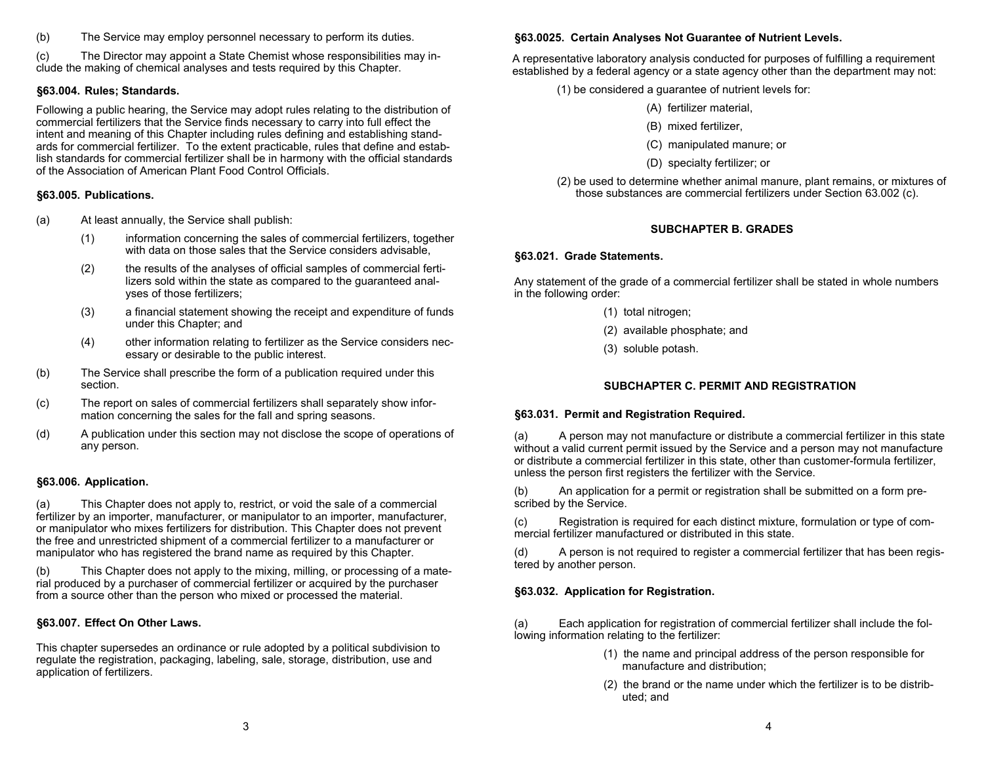(b) The Service may employ personnel necessary to perform its duties.

(c) The Director may appoint a State Chemist whose responsibilities may include the making of chemical analyses and tests required by this Chapter.

## **§63.004. Rules; Standards.**

Following a public hearing, the Service may adopt rules relating to the distribution of commercial fertilizers that the Service finds necessary to carry into full effect the intent and meaning of this Chapter including rules defining and establishing standards for commercial fertilizer. To the extent practicable, rules that define and establish standards for commercial fertilizer shall be in harmony with the official standards of the Association of American Plant Food Control Officials.

#### **§63.005. Publications.**

- (a) At least annually, the Service shall publish:
	- (1) information concerning the sales of commercial fertilizers, together with data on those sales that the Service considers advisable.
	- (2) the results of the analyses of official samples of commercial ferti lizers sold within the state as compared to the guaranteed anal yses of those fertilizers;
	- (3) a financial statement showing the receipt and expenditure of funds under this Chapter; and
	- (4) other information relating to fertilizer as the Service considers nec essary or desirable to the public interest.
- (b) The Service shall prescribe the form of a publication required under this section.
- (c) The report on sales of commercial fertilizers shall separately show infor mation concerning the sales for the fall and spring seasons.
- (d) A publication under this section may not disclose the scope of operations of any person.

#### **§63.006. Application.**

(a) This Chapter does not apply to, restrict, or void the sale of a commercial fertilizer by an importer, manufacturer, or manipulator to an importer, manufacturer, or manipulator who mixes fertilizers for distribution. This Chapter does not prevent the free and unrestricted shipment of a commercial fertilizer to a manufacturer or manipulator who has registered the brand name as required by this Chapter.

(b) This Chapter does not apply to the mixing, milling, or processing of a material produced by a purchaser of commercial fertilizer or acquired by the purchaser from a source other than the person who mixed or processed the material.

## **§63.007. Effect On Other Laws.**

This chapter supersedes an ordinance or rule adopted by a political subdivision to regulate the registration, packaging, labeling, sale, storage, distribution, use and application of fertilizers.

#### **§63.0025. Certain Analyses Not Guarantee of Nutrient Levels.**

A representative laboratory analysis conducted for purposes of fulfilling a requirement established by a federal agency or a state agency other than the department may not:

- (1) be considered a guarantee of nutrient levels for:
	- (A) fertilizer material,
	- (B) mixed fertilizer,
	- (C) manipulated manure; or
	- (D) specialty fertilizer; or
- (2) be used to determine whether animal manure, plant remains, or mixtures of those substances are commercial fertilizers under Section 63.002 (c).

## **SUBCHAPTER B. GRADES**

#### **§63.021. Grade Statements.**

Any statement of the grade of a commercial fertilizer shall be stated in whole numbers in the following order:

- (1) total nitrogen;
- (2) available phosphate; and
- (3) soluble potash.

## **SUBCHAPTER C. PERMIT AND REGISTRATION**

#### **§63.031. Permit and Registration Required.**

(a) A person may not manufacture or distribute a commercial fertilizer in this state without a valid current permit issued by the Service and a person may not manufacture or distribute a commercial fertilizer in this state, other than customer-formula fertilizer, unless the person first registers the fertilizer with the Service.

(b) An application for a permit or registration shall be submitted on a form prescribed by the Service.

(c) Registration is required for each distinct mixture, formulation or type of commercial fertilizer manufactured or distributed in this state.

(d) A person is not required to register a commercial fertilizer that has been registered by another person.

## **§63.032. Application for Registration.**

(a) Each application for registration of commercial fertilizer shall include the following information relating to the fertilizer:

- (1) the name and principal address of the person responsible for manufacture and distribution;
- (2) the brand or the name under which the fertilizer is to be distrib uted; and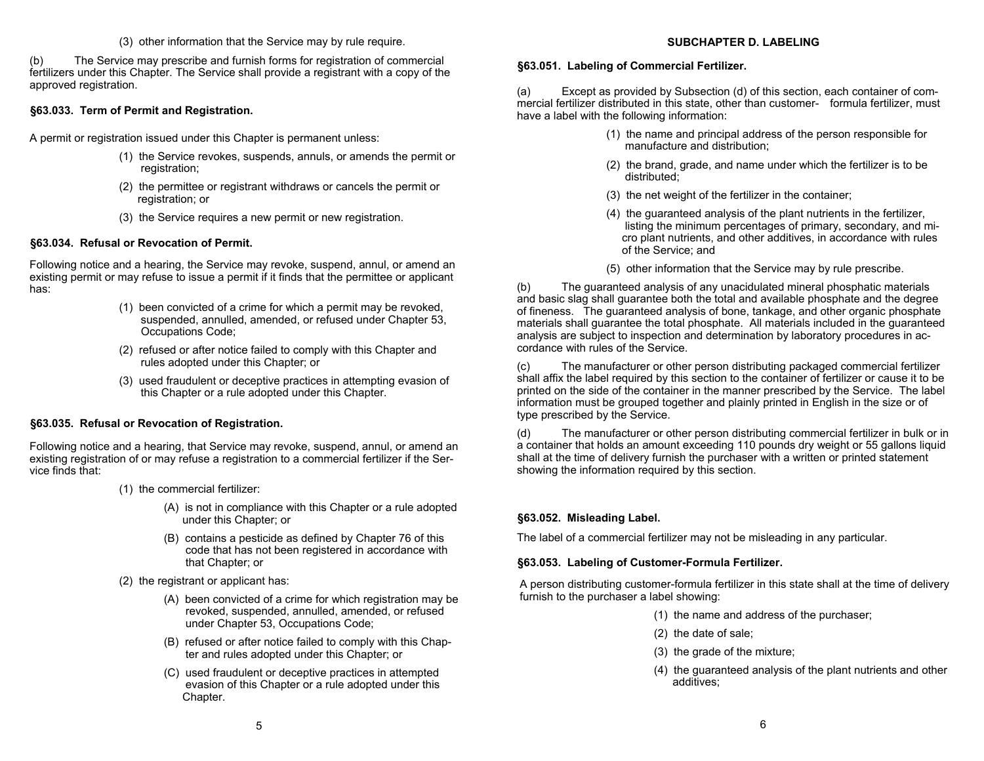#### (3) other information that the Service may by rule require.

(b) The Service may prescribe and furnish forms for registration of commercial fertilizers under this Chapter. The Service shall provide a registrant with a copy of the approved registration.

#### **§63.033. Term of Permit and Registration.**

A permit or registration issued under this Chapter is permanent unless:

- (1) the Service revokes, suspends, annuls, or amends the permit or registration;
- (2) the permittee or registrant withdraws or cancels the permit or registration; or
- (3) the Service requires a new permit or new registration.

#### **§63.034. Refusal or Revocation of Permit.**

Following notice and a hearing, the Service may revoke, suspend, annul, or amend an existing permit or may refuse to issue a permit if it finds that the permittee or applicant has:

- (1) been convicted of a crime for which a permit may be revoked, suspended, annulled, amended, or refused under Chapter 53, Occupations Code;
- (2) refused or after notice failed to comply with this Chapter and rules adopted under this Chapter; or
- (3) used fraudulent or deceptive practices in attempting evasion of this Chapter or a rule adopted under this Chapter.

## **§63.035. Refusal or Revocation of Registration.**

Following notice and a hearing, that Service may revoke, suspend, annul, or amend an existing registration of or may refuse a registration to a commercial fertilizer if the Service finds that:

- (1) the commercial fertilizer:
	- (A) is not in compliance with this Chapter or a rule adopted under this Chapter; or
	- (B) contains a pesticide as defined by Chapter 76 of this code that has not been registered in accordance with that Chapter; or
- (2) the registrant or applicant has:
	- (A) been convicted of a crime for which registration may be revoked, suspended, annulled, amended, or refused under Chapter 53, Occupations Code;
	- (B) refused or after notice failed to comply with this Chap ter and rules adopted under this Chapter; or
	- (C) used fraudulent or deceptive practices in attempted evasion of this Chapter or a rule adopted under this Chapter.

#### **SUBCHAPTER D. LABELING**

#### **§63.051. Labeling of Commercial Fertilizer.**

(a) Except as provided by Subsection (d) of this section, each container of commercial fertilizer distributed in this state, other than customer- formula fertilizer, must have a label with the following information:

- (1) the name and principal address of the person responsible for manufacture and distribution;
- (2) the brand, grade, and name under which the fertilizer is to be distributed;
- (3) the net weight of the fertilizer in the container;
- (4) the guaranteed analysis of the plant nutrients in the fertilizer, listing the minimum percentages of primary, secondary, and mi cro plant nutrients, and other additives, in accordance with rules of the Service; and
- (5) other information that the Service may by rule prescribe.

(b) The guaranteed analysis of any unacidulated mineral phosphatic materials and basic slag shall guarantee both the total and available phosphate and the degree of fineness. The guaranteed analysis of bone, tankage, and other organic phosphate materials shall guarantee the total phosphate. All materials included in the guaranteed analysis are subject to inspection and determination by laboratory procedures in accordance with rules of the Service.

(c) The manufacturer or other person distributing packaged commercial fertilizer shall affix the label required by this section to the container of fertilizer or cause it to be printed on the side of the container in the manner prescribed by the Service. The label information must be grouped together and plainly printed in English in the size or of type prescribed by the Service.

(d) The manufacturer or other person distributing commercial fertilizer in bulk or in a container that holds an amount exceeding 110 pounds dry weight or 55 gallons liquid shall at the time of delivery furnish the purchaser with a written or printed statement showing the information required by this section.

## **§63.052. Misleading Label.**

The label of a commercial fertilizer may not be misleading in any particular.

#### **§63.053. Labeling of Customer-Formula Fertilizer.**

A person distributing customer-formula fertilizer in this state shall at the time of delivery furnish to the purchaser a label showing:

- (1) the name and address of the purchaser;
- (2) the date of sale;
- (3) the grade of the mixture;
- (4) the guaranteed analysis of the plant nutrients and other additives;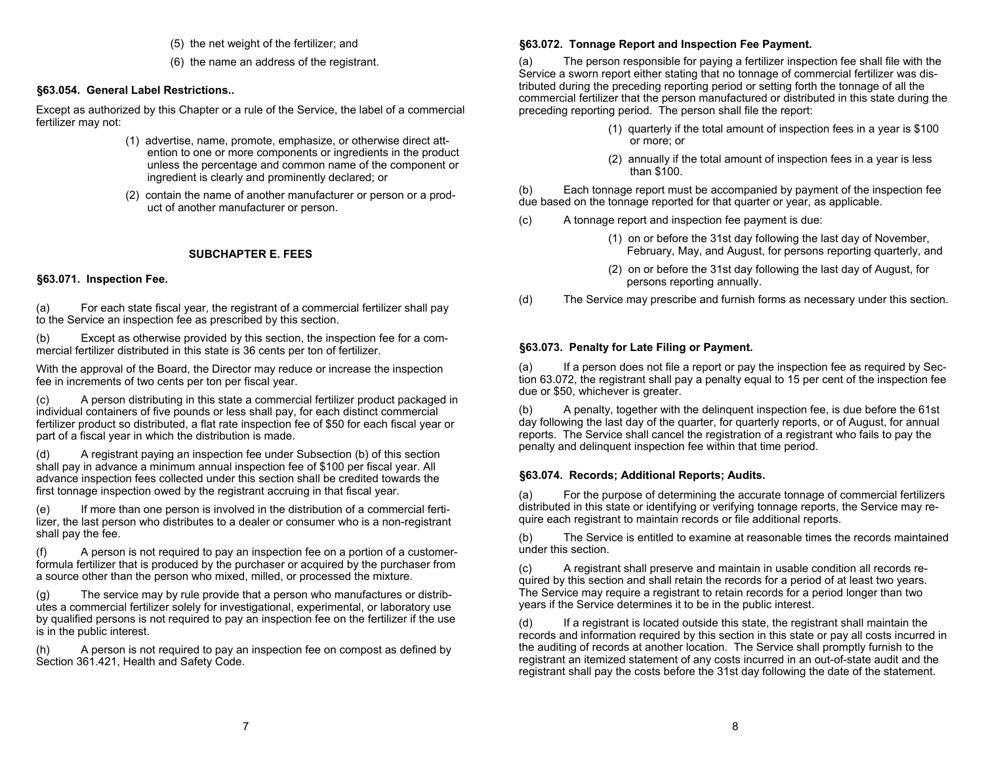- (5) the net weight of the fertilizer; and
- (6) the name an address of the registrant.

#### **§63.054. General Label Restrictions..**

Except as authorized by this Chapter or a rule of the Service, the label of a commercial fertilizer may not:

- (1) advertise, name, promote, emphasize, or otherwise direct att ention to one or more components or ingredients in the product unless the percentage and common name of the component or ingredient is clearly and prominently declared; or
- (2) contain the name of another manufacturer or person or a prod uct of another manufacturer or person.

## **SUBCHAPTER E. FEES**

#### **§63.071. Inspection Fee.**

(a) For each state fiscal year, the registrant of a commercial fertilizer shall pay to the Service an inspection fee as prescribed by this section.

(b) Except as otherwise provided by this section, the inspection fee for a commercial fertilizer distributed in this state is 36 cents per ton of fertilizer.

With the approval of the Board, the Director may reduce or increase the inspection fee in increments of two cents per ton per fiscal year.

(c) A person distributing in this state a commercial fertilizer product packaged in individual containers of five pounds or less shall pay, for each distinct commercial fertilizer product so distributed, a flat rate inspection fee of \$50 for each fiscal year or part of a fiscal year in which the distribution is made.

(d) A registrant paying an inspection fee under Subsection (b) of this section shall pay in advance a minimum annual inspection fee of \$100 per fiscal year. All advance inspection fees collected under this section shall be credited towards the first tonnage inspection owed by the registrant accruing in that fiscal year.

(e) If more than one person is involved in the distribution of a commercial fertilizer, the last person who distributes to a dealer or consumer who is a non-registrant shall pay the fee.

(f) A person is not required to pay an inspection fee on a portion of a customerformula fertilizer that is produced by the purchaser or acquired by the purchaser from a source other than the person who mixed, milled, or processed the mixture.

(g) The service may by rule provide that a person who manufactures or distributes a commercial fertilizer solely for investigational, experimental, or laboratory use by qualified persons is not required to pay an inspection fee on the fertilizer if the use is in the public interest.

(h) A person is not required to pay an inspection fee on compost as defined by Section 361.421, Health and Safety Code.

#### **§63.072. Tonnage Report and Inspection Fee Payment.**

(a) The person responsible for paying a fertilizer inspection fee shall file with the Service a sworn report either stating that no tonnage of commercial fertilizer was distributed during the preceding reporting period or setting forth the tonnage of all the commercial fertilizer that the person manufactured or distributed in this state during the preceding reporting period. The person shall file the report:

- (1) quarterly if the total amount of inspection fees in a year is \$100 or more; or
- (2) annually if the total amount of inspection fees in a year is less than \$100.

(b) Each tonnage report must be accompanied by payment of the inspection fee due based on the tonnage reported for that quarter or year, as applicable.

- (c) A tonnage report and inspection fee payment is due:
	- (1) on or before the 31st day following the last day of November, February, May, and August, for persons reporting quarterly, and
	- (2) on or before the 31st day following the last day of August, for persons reporting annually.
- (d) The Service may prescribe and furnish forms as necessary under this section.

#### **§63.073. Penalty for Late Filing or Payment.**

(a) If a person does not file a report or pay the inspection fee as required by Section 63.072, the registrant shall pay a penalty equal to 15 per cent of the inspection fee due or \$50, whichever is greater.

(b) A penalty, together with the delinquent inspection fee, is due before the 61st day following the last day of the quarter, for quarterly reports, or of August, for annual reports. The Service shall cancel the registration of a registrant who fails to pay the penalty and delinquent inspection fee within that time period.

#### **§63.074. Records; Additional Reports; Audits.**

(a) For the purpose of determining the accurate tonnage of commercial fertilizers distributed in this state or identifying or verifying tonnage reports, the Service may require each registrant to maintain records or file additional reports.

(b) The Service is entitled to examine at reasonable times the records maintained under this section.

(c) A registrant shall preserve and maintain in usable condition all records required by this section and shall retain the records for a period of at least two years. The Service may require a registrant to retain records for a period longer than two years if the Service determines it to be in the public interest.

(d) If a registrant is located outside this state, the registrant shall maintain the records and information required by this section in this state or pay all costs incurred in the auditing of records at another location. The Service shall promptly furnish to the registrant an itemized statement of any costs incurred in an out-of-state audit and the registrant shall pay the costs before the 31st day following the date of the statement.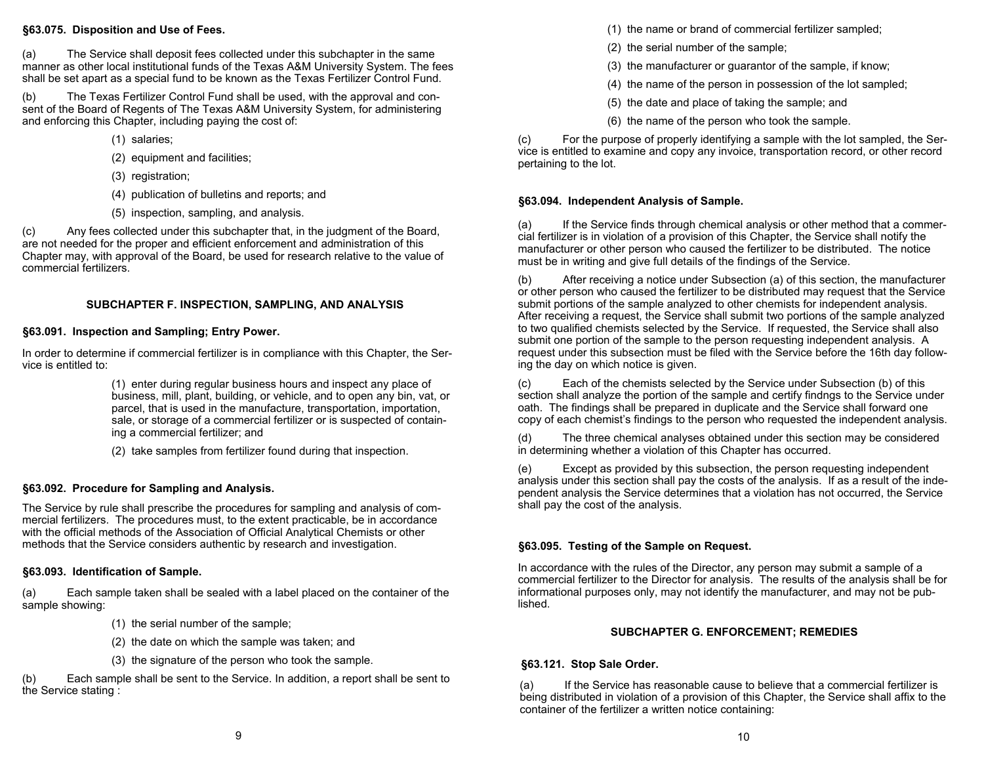#### **§63.075. Disposition and Use of Fees.**

(a) The Service shall deposit fees collected under this subchapter in the same manner as other local institutional funds of the Texas A&M University System. The fees shall be set apart as a special fund to be known as the Texas Fertilizer Control Fund.

(b) The Texas Fertilizer Control Fund shall be used, with the approval and consent of the Board of Regents of The Texas A&M University System, for administering and enforcing this Chapter, including paying the cost of:

- (1) salaries;
- (2) equipment and facilities;
- (3) registration;
- (4) publication of bulletins and reports; and
- (5) inspection, sampling, and analysis.

(c) Any fees collected under this subchapter that, in the judgment of the Board, are not needed for the proper and efficient enforcement and administration of this Chapter may, with approval of the Board, be used for research relative to the value of commercial fertilizers.

## **SUBCHAPTER F. INSPECTION, SAMPLING, AND ANALYSIS**

## **§63.091. Inspection and Sampling; Entry Power.**

In order to determine if commercial fertilizer is in compliance with this Chapter, the Service is entitled to:

> (1) enter during regular business hours and inspect any place of business, mill, plant, building, or vehicle, and to open any bin, vat, or parcel, that is used in the manufacture, transportation, importation, sale, or storage of a commercial fertilizer or is suspected of contain ing a commercial fertilizer; and

(2) take samples from fertilizer found during that inspection.

## **§63.092. Procedure for Sampling and Analysis.**

The Service by rule shall prescribe the procedures for sampling and analysis of commercial fertilizers. The procedures must, to the extent practicable, be in accordance with the official methods of the Association of Official Analytical Chemists or other methods that the Service considers authentic by research and investigation.

## **§63.093. Identification of Sample.**

(a) Each sample taken shall be sealed with a label placed on the container of the sample showing:

- (1) the serial number of the sample;
- (2) the date on which the sample was taken; and
- (3) the signature of the person who took the sample.

(b) Each sample shall be sent to the Service. In addition, a report shall be sent to the Service stating :

- (1) the name or brand of commercial fertilizer sampled;
- (2) the serial number of the sample;
- (3) the manufacturer or guarantor of the sample, if know;
- (4) the name of the person in possession of the lot sampled;
- (5) the date and place of taking the sample; and
- (6) the name of the person who took the sample.

(c) For the purpose of properly identifying a sample with the lot sampled, the Service is entitled to examine and copy any invoice, transportation record, or other record pertaining to the lot.

#### **§63.094. Independent Analysis of Sample.**

(a) If the Service finds through chemical analysis or other method that a commercial fertilizer is in violation of a provision of this Chapter, the Service shall notify the manufacturer or other person who caused the fertilizer to be distributed. The notice must be in writing and give full details of the findings of the Service.

(b) After receiving a notice under Subsection (a) of this section, the manufacturer or other person who caused the fertilizer to be distributed may request that the Service submit portions of the sample analyzed to other chemists for independent analysis. After receiving a request, the Service shall submit two portions of the sample analyzed to two qualified chemists selected by the Service. If requested, the Service shall also submit one portion of the sample to the person requesting independent analysis. A request under this subsection must be filed with the Service before the 16th day following the day on which notice is given.

(c) Each of the chemists selected by the Service under Subsection (b) of this section shall analyze the portion of the sample and certify findngs to the Service under oath. The findings shall be prepared in duplicate and the Service shall forward one copy of each chemist's findings to the person who requested the independent analysis.

(d) The three chemical analyses obtained under this section may be considered in determining whether a violation of this Chapter has occurred.

(e) Except as provided by this subsection, the person requesting independent analysis under this section shall pay the costs of the analysis. If as a result of the independent analysis the Service determines that a violation has not occurred, the Service shall pay the cost of the analysis.

## **§63.095. Testing of the Sample on Request.**

In accordance with the rules of the Director, any person may submit a sample of a commercial fertilizer to the Director for analysis. The results of the analysis shall be for informational purposes only, may not identify the manufacturer, and may not be published.

#### **SUBCHAPTER G. ENFORCEMENT; REMEDIES**

## **§63.121. Stop Sale Order.**

(a) If the Service has reasonable cause to believe that a commercial fertilizer is being distributed in violation of a provision of this Chapter, the Service shall affix to the container of the fertilizer a written notice containing: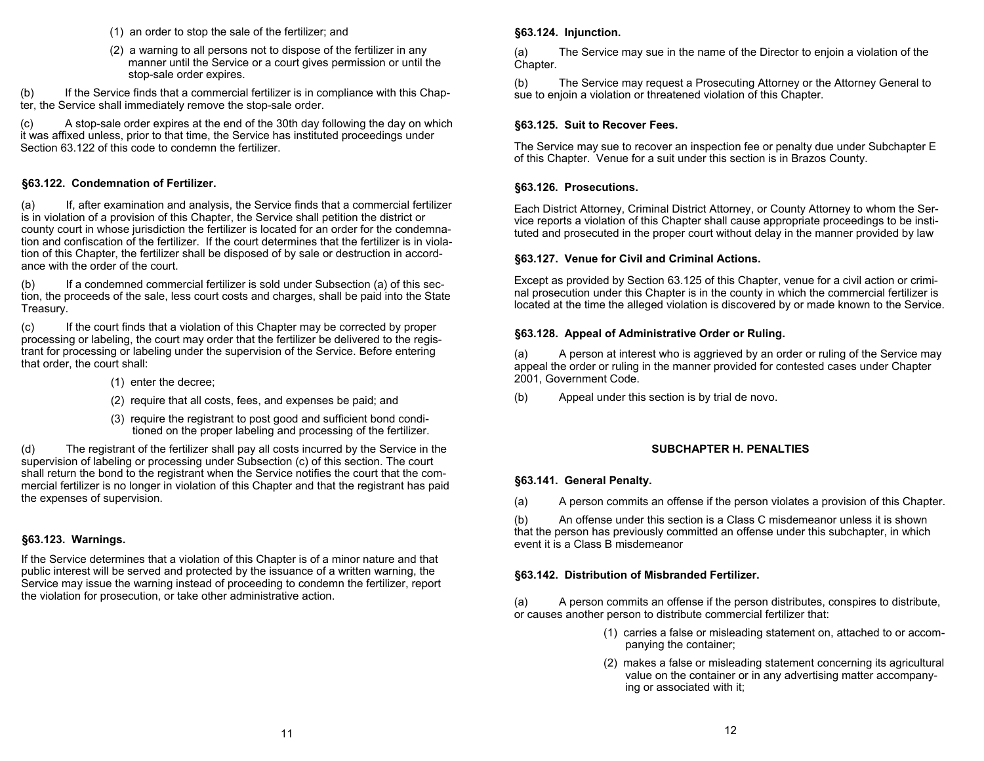- (1) an order to stop the sale of the fertilizer; and
- (2) a warning to all persons not to dispose of the fertilizer in any manner until the Service or a court gives permission or until the stop-sale order expires.

(b) If the Service finds that a commercial fertilizer is in compliance with this Chapter, the Service shall immediately remove the stop-sale order.

(c) A stop-sale order expires at the end of the 30th day following the day on which it was affixed unless, prior to that time, the Service has instituted proceedings under Section 63.122 of this code to condemn the fertilizer.

#### **§63.122. Condemnation of Fertilizer.**

(a) If, after examination and analysis, the Service finds that a commercial fertilizer is in violation of a provision of this Chapter, the Service shall petition the district or county court in whose jurisdiction the fertilizer is located for an order for the condemnation and confiscation of the fertilizer. If the court determines that the fertilizer is in violation of this Chapter, the fertilizer shall be disposed of by sale or destruction in accordance with the order of the court.

(b) If a condemned commercial fertilizer is sold under Subsection (a) of this section, the proceeds of the sale, less court costs and charges, shall be paid into the State Treasury.

(c) If the court finds that a violation of this Chapter may be corrected by proper processing or labeling, the court may order that the fertilizer be delivered to the registrant for processing or labeling under the supervision of the Service. Before entering that order, the court shall:

- (1) enter the decree;
- (2) require that all costs, fees, and expenses be paid; and
- (3) require the registrant to post good and sufficient bond condi tioned on the proper labeling and processing of the fertilizer.

(d) The registrant of the fertilizer shall pay all costs incurred by the Service in the supervision of labeling or processing under Subsection (c) of this section. The court shall return the bond to the registrant when the Service notifies the court that the commercial fertilizer is no longer in violation of this Chapter and that the registrant has paid the expenses of supervision.

## **§63.123. Warnings.**

If the Service determines that a violation of this Chapter is of a minor nature and that public interest will be served and protected by the issuance of a written warning, the Service may issue the warning instead of proceeding to condemn the fertilizer, report the violation for prosecution, or take other administrative action.

#### **§63.124. Injunction.**

(a) The Service may sue in the name of the Director to enjoin a violation of the Chapter.

(b) The Service may request a Prosecuting Attorney or the Attorney General to sue to enjoin a violation or threatened violation of this Chapter.

#### **§63.125. Suit to Recover Fees.**

The Service may sue to recover an inspection fee or penalty due under Subchapter E of this Chapter. Venue for a suit under this section is in Brazos County.

#### **§63.126. Prosecutions.**

Each District Attorney, Criminal District Attorney, or County Attorney to whom the Service reports a violation of this Chapter shall cause appropriate proceedings to be instituted and prosecuted in the proper court without delay in the manner provided by law

#### **§63.127. Venue for Civil and Criminal Actions.**

Except as provided by Section 63.125 of this Chapter, venue for a civil action or criminal prosecution under this Chapter is in the county in which the commercial fertilizer is located at the time the alleged violation is discovered by or made known to the Service.

#### **§63.128. Appeal of Administrative Order or Ruling.**

(a) A person at interest who is aggrieved by an order or ruling of the Service may appeal the order or ruling in the manner provided for contested cases under Chapter 2001, Government Code.

(b) Appeal under this section is by trial de novo.

#### **SUBCHAPTER H. PENALTIES**

#### **§63.141. General Penalty.**

(a) A person commits an offense if the person violates a provision of this Chapter.

(b) An offense under this section is a Class C misdemeanor unless it is shown that the person has previously committed an offense under this subchapter, in which event it is a Class B misdemeanor

#### **§63.142. Distribution of Misbranded Fertilizer.**

(a) A person commits an offense if the person distributes, conspires to distribute, or causes another person to distribute commercial fertilizer that:

- (1) carries a false or misleading statement on, attached to or accom panying the container;
- (2) makes a false or misleading statement concerning its agricultural value on the container or in any advertising matter accompany ing or associated with it;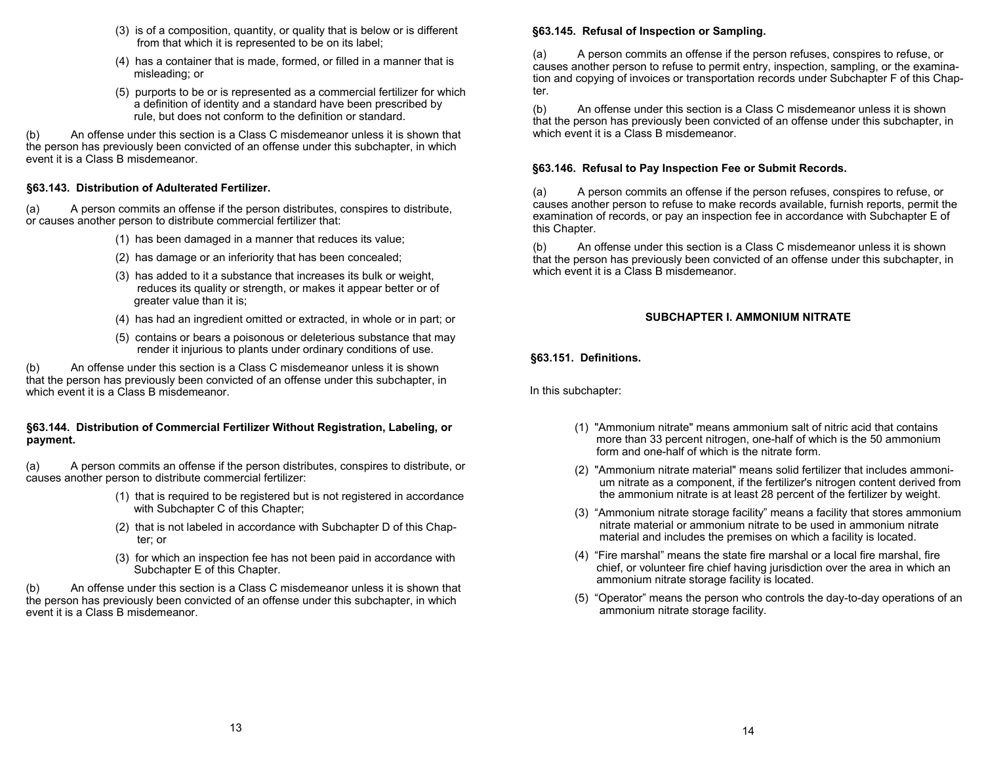- (3) is of a composition, quantity, or quality that is below or is different from that which it is represented to be on its label;
- (4) has a container that is made, formed, or filled in a manner that is misleading; or
- (5) purports to be or is represented as a commercial fertilizer for which a definition of identity and a standard have been prescribed by rule, but does not conform to the definition or standard.

(b) An offense under this section is a Class C misdemeanor unless it is shown that the person has previously been convicted of an offense under this subchapter, in which event it is a Class B misdemeanor.

#### **§63.143. Distribution of Adulterated Fertilizer.**

(a) A person commits an offense if the person distributes, conspires to distribute, or causes another person to distribute commercial fertilizer that:

- (1) has been damaged in a manner that reduces its value;
- (2) has damage or an inferiority that has been concealed;
- (3) has added to it a substance that increases its bulk or weight, reduces its quality or strength, or makes it appear better or of greater value than it is;
- (4) has had an ingredient omitted or extracted, in whole or in part; or
- (5) contains or bears a poisonous or deleterious substance that may render it injurious to plants under ordinary conditions of use.

(b) An offense under this section is a Class C misdemeanor unless it is shown that the person has previously been convicted of an offense under this subchapter, in which event it is a Class B misdemeanor.

#### **§63.144. Distribution of Commercial Fertilizer Without Registration, Labeling, or payment.**

(a) A person commits an offense if the person distributes, conspires to distribute, or causes another person to distribute commercial fertilizer:

- (1) that is required to be registered but is not registered in accordance with Subchapter C of this Chapter;
- (2) that is not labeled in accordance with Subchapter D of this Chap ter; or
- (3) for which an inspection fee has not been paid in accordance with Subchapter E of this Chapter.

(b) An offense under this section is a Class C misdemeanor unless it is shown that the person has previously been convicted of an offense under this subchapter, in which event it is a Class B misdemeanor.

#### **§63.145. Refusal of Inspection or Sampling.**

(a) A person commits an offense if the person refuses, conspires to refuse, or causes another person to refuse to permit entry, inspection, sampling, or the examination and copying of invoices or transportation records under Subchapter F of this Chapter.

(b) An offense under this section is a Class C misdemeanor unless it is shown that the person has previously been convicted of an offense under this subchapter, in which event it is a Class B misdemeanor.

#### **§63.146. Refusal to Pay Inspection Fee or Submit Records.**

(a) A person commits an offense if the person refuses, conspires to refuse, or causes another person to refuse to make records available, furnish reports, permit the examination of records, or pay an inspection fee in accordance with Subchapter E of this Chapter.

(b) An offense under this section is a Class C misdemeanor unless it is shown that the person has previously been convicted of an offense under this subchapter, in which event it is a Class B misdemeanor.

## **SUBCHAPTER I. AMMONIUM NITRATE**

**§63.151. Definitions.** 

In this subchapter:

- (1) "Ammonium nitrate" means ammonium salt of nitric acid that contains more than 33 percent nitrogen, one-half of which is the 50 ammonium form and one-half of which is the nitrate form.
- (2) "Ammonium nitrate material" means solid fertilizer that includes ammoni um nitrate as a component, if the fertilizer's nitrogen content derived from the ammonium nitrate is at least 28 percent of the fertilizer by weight.
- (3) "Ammonium nitrate storage facility" means a facility that stores ammonium nitrate material or ammonium nitrate to be used in ammonium nitrate material and includes the premises on which a facility is located.
	- (4) "Fire marshal" means the state fire marshal or a local fire marshal, fire chief, or volunteer fire chief having jurisdiction over the area in which an ammonium nitrate storage facility is located.
	- (5) "Operator" means the person who controls the day-to-day operations of an ammonium nitrate storage facility.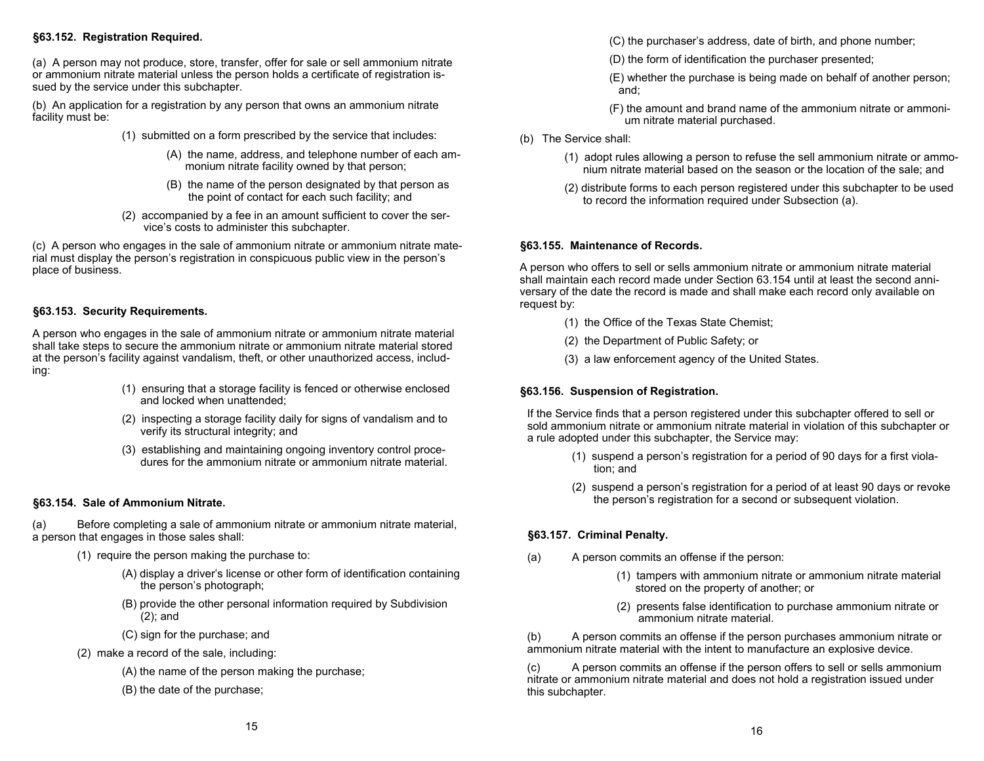#### **§63.152. Registration Required.**

(a) A person may not produce, store, transfer, offer for sale or sell ammonium nitrate or ammonium nitrate material unless the person holds a certificate of registration issued by the service under this subchapter.

(b) An application for a registration by any person that owns an ammonium nitrate facility must be:

- (1) submitted on a form prescribed by the service that includes:
	- (A) the name, address, and telephone number of each am monium nitrate facility owned by that person;
	- (B) the name of the person designated by that person as the point of contact for each such facility; and
- (2) accompanied by a fee in an amount sufficient to cover the ser vice's costs to administer this subchapter.

(c) A person who engages in the sale of ammonium nitrate or ammonium nitrate material must display the person's registration in conspicuous public view in the person's place of business.

#### **§63.153. Security Requirements.**

A person who engages in the sale of ammonium nitrate or ammonium nitrate material shall take steps to secure the ammonium nitrate or ammonium nitrate material stored at the person's facility against vandalism, theft, or other unauthorized access, including:

- (1) ensuring that a storage facility is fenced or otherwise enclosed and locked when unattended;
- (2) inspecting a storage facility daily for signs of vandalism and to verify its structural integrity; and
- (3) establishing and maintaining ongoing inventory control proce dures for the ammonium nitrate or ammonium nitrate material.

## **§63.154. Sale of Ammonium Nitrate.**

(a) Before completing a sale of ammonium nitrate or ammonium nitrate material, a person that engages in those sales shall:

- (1) require the person making the purchase to:
	- (A) display a driver's license or other form of identification containing the person's photograph;
	- (B) provide the other personal information required by Subdivision (2); and
	- (C) sign for the purchase; and
- (2) make a record of the sale, including:
	- (A) the name of the person making the purchase;
	- (B) the date of the purchase;

(C) the purchaser's address, date of birth, and phone number;

- (D) the form of identification the purchaser presented;
- (E) whether the purchase is being made on behalf of another person; and;
- (F) the amount and brand name of the ammonium nitrate or ammoni um nitrate material purchased.
- (b) The Service shall:
	- (1) adopt rules allowing a person to refuse the sell ammonium nitrate or ammo nium nitrate material based on the season or the location of the sale; and
	- (2) distribute forms to each person registered under this subchapter to be used to record the information required under Subsection (a).

#### **§63.155. Maintenance of Records.**

A person who offers to sell or sells ammonium nitrate or ammonium nitrate material shall maintain each record made under Section 63.154 until at least the second anniversary of the date the record is made and shall make each record only available on request by:

- (1) the Office of the Texas State Chemist;
- (2) the Department of Public Safety; or
- (3) a law enforcement agency of the United States.

## **§63.156. Suspension of Registration.**

If the Service finds that a person registered under this subchapter offered to sell or sold ammonium nitrate or ammonium nitrate material in violation of this subchapter or a rule adopted under this subchapter, the Service may:

- (1) suspend a person's registration for a period of 90 days for a first viola tion; and
- (2) suspend a person's registration for a period of at least 90 days or revoke the person's registration for a second or subsequent violation.

## **§63.157. Criminal Penalty.**

- (a) A person commits an offense if the person:
	- (1) tampers with ammonium nitrate or ammonium nitrate material stored on the property of another; or
	- (2) presents false identification to purchase ammonium nitrate or ammonium nitrate material.

(b) A person commits an offense if the person purchases ammonium nitrate or ammonium nitrate material with the intent to manufacture an explosive device.

(c) A person commits an offense if the person offers to sell or sells ammonium nitrate or ammonium nitrate material and does not hold a registration issued under this subchapter.